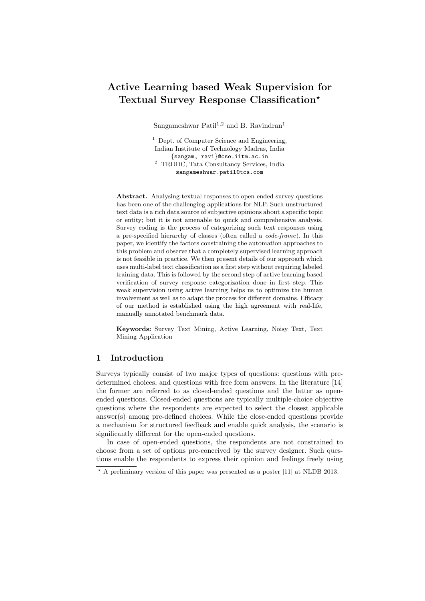# Active Learning based Weak Supervision for Textual Survey Response Classification?

Sangameshwar Patil<sup>1,2</sup> and B. Ravindran<sup>1</sup>

<sup>1</sup> Dept. of Computer Science and Engineering, Indian Institute of Technology Madras, India {sangam, ravi}@cse.iitm.ac.in <sup>2</sup> TRDDC, Tata Consultancy Services, India sangameshwar.patil@tcs.com

Abstract. Analysing textual responses to open-ended survey questions has been one of the challenging applications for NLP. Such unstructured text data is a rich data source of subjective opinions about a specific topic or entity; but it is not amenable to quick and comprehensive analysis. Survey coding is the process of categorizing such text responses using a pre-specified hierarchy of classes (often called a code-frame). In this paper, we identify the factors constraining the automation approaches to this problem and observe that a completely supervised learning approach is not feasible in practice. We then present details of our approach which uses multi-label text classification as a first step without requiring labeled training data. This is followed by the second step of active learning based verification of survey response categorization done in first step. This weak supervision using active learning helps us to optimize the human involvement as well as to adapt the process for different domains. Efficacy of our method is established using the high agreement with real-life, manually annotated benchmark data.

Keywords: Survey Text Mining, Active Learning, Noisy Text, Text Mining Application

# 1 Introduction

Surveys typically consist of two major types of questions: questions with predetermined choices, and questions with free form answers. In the literature [14] the former are referred to as closed-ended questions and the latter as openended questions. Closed-ended questions are typically multiple-choice objective questions where the respondents are expected to select the closest applicable answer(s) among pre-defined choices. While the close-ended questions provide a mechanism for structured feedback and enable quick analysis, the scenario is significantly different for the open-ended questions.

In case of open-ended questions, the respondents are not constrained to choose from a set of options pre-conceived by the survey designer. Such questions enable the respondents to express their opinion and feelings freely using

<sup>?</sup> A preliminary version of this paper was presented as a poster [11] at NLDB 2013.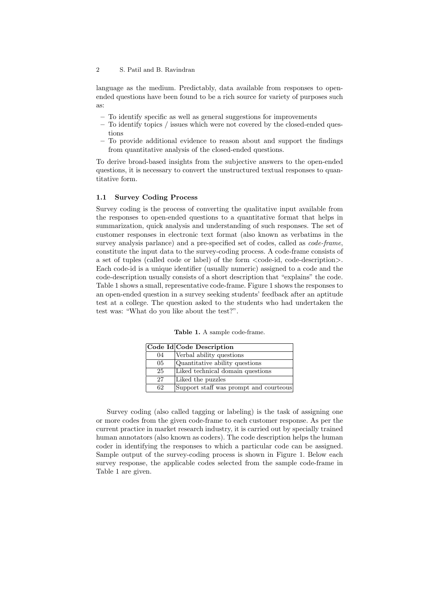language as the medium. Predictably, data available from responses to openended questions have been found to be a rich source for variety of purposes such as:

- To identify specific as well as general suggestions for improvements
- To identify topics / issues which were not covered by the closed-ended questions
- To provide additional evidence to reason about and support the findings from quantitative analysis of the closed-ended questions.

To derive broad-based insights from the subjective answers to the open-ended questions, it is necessary to convert the unstructured textual responses to quantitative form.

## 1.1 Survey Coding Process

Survey coding is the process of converting the qualitative input available from the responses to open-ended questions to a quantitative format that helps in summarization, quick analysis and understanding of such responses. The set of customer responses in electronic text format (also known as verbatims in the survey analysis parlance) and a pre-specified set of codes, called as *code-frame*, constitute the input data to the survey-coding process. A code-frame consists of a set of tuples (called code or label) of the form <code-id, code-description>. Each code-id is a unique identifier (usually numeric) assigned to a code and the code-description usually consists of a short description that "explains" the code. Table 1 shows a small, representative code-frame. Figure 1 shows the responses to an open-ended question in a survey seeking students' feedback after an aptitude test at a college. The question asked to the students who had undertaken the test was: "What do you like about the test?".

|    | Code Id Code Description               |
|----|----------------------------------------|
| 04 | Verbal ability questions               |
| 05 | Quantitative ability questions         |
| 25 | Liked technical domain questions       |
| 27 | Liked the puzzles                      |
| 62 | Support staff was prompt and courteous |

Table 1. A sample code-frame.

Survey coding (also called tagging or labeling) is the task of assigning one or more codes from the given code-frame to each customer response. As per the current practice in market research industry, it is carried out by specially trained human annotators (also known as coders). The code description helps the human coder in identifying the responses to which a particular code can be assigned. Sample output of the survey-coding process is shown in Figure 1. Below each survey response, the applicable codes selected from the sample code-frame in Table 1 are given.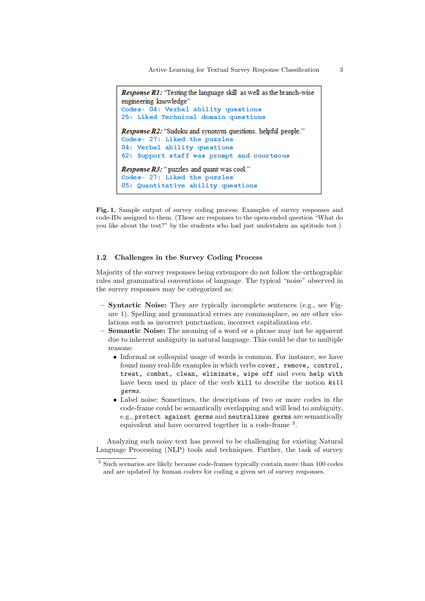```
Response R1: "Testing the language skill as well as the branch-wise
engineering knowledge"
Codes- 04: Verbal ability questions
25: Liked Technical domain questions
Response R2: "Sudoku and synonym questions. helpful people."
Codes- 27: Liked the puzzles
04: Verbal ability questions
62: Support staff was prompt and courteous
Response R3: "puzzles and quant was cool."
Codes- 27: Liked the puzzles
05: Quantitative ability questions
```
Fig. 1. Sample output of survey coding process: Examples of survey responses and code-IDs assigned to them. (These are responses to the open-ended question "What do you like about the test?" by the students who had just undertaken an aptitude test.)

## 1.2 Challenges in the Survey Coding Process

Majority of the survey responses being extempore do not follow the orthographic rules and grammatical conventions of language. The typical "noise" observed in the survey responses may be categorized as:

- Syntactic Noise: They are typically incomplete sentences (e.g., see Figure 1). Spelling and grammatical errors are commonplace, so are other violations such as incorrect punctuation, incorrect capitalization etc.
- Semantic Noise: The meaning of a word or a phrase may not be apparent due to inherent ambiguity in natural language. This could be due to multiple reasons:
	- Informal or colloquial usage of words is common. For instance, we have found many real-life examples in which verbs cover, remove, control, treat, combat, clean, eliminate, wipe off and even help with have been used in place of the verb kill to describe the notion  $kill$ germs.
	- Label noise: Sometimes, the descriptions of two or more codes in the code-frame could be semantically overlapping and will lead to ambiguity, e.g., protect against germs and neutralizes germs are semantically equivalent and have occurred together in a code-frame <sup>3</sup>.

Analyzing such noisy text has proved to be challenging for existing Natural Language Processing (NLP) tools and techniques. Further, the task of survey

<sup>3</sup> Such scenarios are likely because code-frames typically contain more than 100 codes and are updated by human coders for coding a given set of survey responses.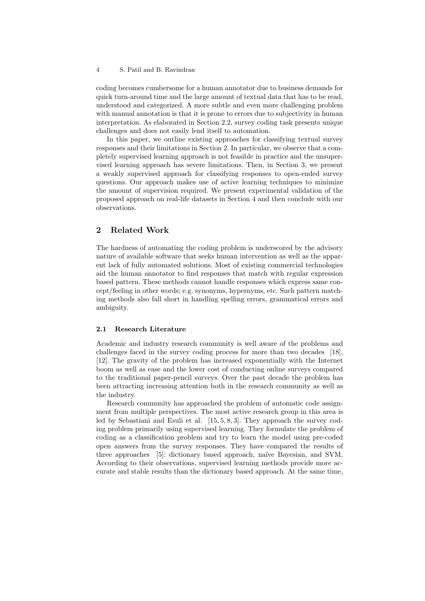coding becomes cumbersome for a human annotator due to business demands for quick turn-around time and the large amount of textual data that has to be read, understood and categorized. A more subtle and even more challenging problem with manual annotation is that it is prone to errors due to subjectivity in human interpretation. As elaborated in Section 2.2, survey coding task presents unique challenges and does not easily lend itself to automation.

In this paper, we outline existing approaches for classifying textual survey responses and their limitations in Section 2. In particular, we observe that a completely supervised learning approach is not feasible in practice and the unsupervised learning approach has severe limitations. Then, in Section 3, we present a weakly supervised approach for classifying responses to open-ended survey questions. Our approach makes use of active learning techniques to minimize the amount of supervision required. We present experimental validation of the proposed approach on real-life datasets in Section 4 and then conclude with our observations.

# 2 Related Work

The hardness of automating the coding problem is underscored by the advisory nature of available software that seeks human intervention as well as the apparent lack of fully automated solutions. Most of existing commercial technologies aid the human annotator to find responses that match with regular expression based pattern. These methods cannot handle responses which express same concept/feeling in other words; e.g. synonyms, hypernyms, etc. Such pattern matching methods also fall short in handling spelling errors, grammatical errors and ambiguity.

## 2.1 Research Literature

Academic and industry research community is well aware of the problems and challenges faced in the survey coding process for more than two decades [18], [12]. The gravity of the problem has increased exponentially with the Internet boom as well as ease and the lower cost of conducting online surveys compared to the traditional paper-pencil surveys. Over the past decade the problem has been attracting increasing attention both in the research community as well as the industry.

Research community has approached the problem of automatic code assignment from multiple perspectives. The most active research group in this area is led by Sebastiani and Esuli et al. [15, 5, 8, 3]. They approach the survey coding problem primarily using supervised learning. They formulate the problem of coding as a classification problem and try to learn the model using pre-coded open answers from the survey responses. They have compared the results of three approaches [5]: dictionary based approach, na¨ıve Bayesian, and SVM. According to their observations, supervised learning methods provide more accurate and stable results than the dictionary based approach. At the same time,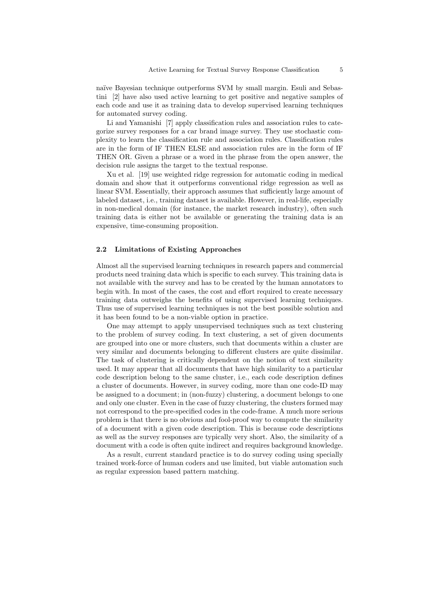naïve Bayesian technique outperforms SVM by small margin. Esuli and Sebastini [2] have also used active learning to get positive and negative samples of each code and use it as training data to develop supervised learning techniques for automated survey coding.

Li and Yamanishi [7] apply classification rules and association rules to categorize survey responses for a car brand image survey. They use stochastic complexity to learn the classification rule and association rules. Classification rules are in the form of IF THEN ELSE and association rules are in the form of IF THEN OR. Given a phrase or a word in the phrase from the open answer, the decision rule assigns the target to the textual response.

Xu et al. [19] use weighted ridge regression for automatic coding in medical domain and show that it outperforms conventional ridge regression as well as linear SVM. Essentially, their approach assumes that sufficiently large amount of labeled dataset, i.e., training dataset is available. However, in real-life, especially in non-medical domain (for instance, the market research industry), often such training data is either not be available or generating the training data is an expensive, time-consuming proposition.

## 2.2 Limitations of Existing Approaches

Almost all the supervised learning techniques in research papers and commercial products need training data which is specific to each survey. This training data is not available with the survey and has to be created by the human annotators to begin with. In most of the cases, the cost and effort required to create necessary training data outweighs the benefits of using supervised learning techniques. Thus use of supervised learning techniques is not the best possible solution and it has been found to be a non-viable option in practice.

One may attempt to apply unsupervised techniques such as text clustering to the problem of survey coding. In text clustering, a set of given documents are grouped into one or more clusters, such that documents within a cluster are very similar and documents belonging to different clusters are quite dissimilar. The task of clustering is critically dependent on the notion of text similarity used. It may appear that all documents that have high similarity to a particular code description belong to the same cluster, i.e., each code description defines a cluster of documents. However, in survey coding, more than one code-ID may be assigned to a document; in (non-fuzzy) clustering, a document belongs to one and only one cluster. Even in the case of fuzzy clustering, the clusters formed may not correspond to the pre-specified codes in the code-frame. A much more serious problem is that there is no obvious and fool-proof way to compute the similarity of a document with a given code description. This is because code descriptions as well as the survey responses are typically very short. Also, the similarity of a document with a code is often quite indirect and requires background knowledge.

As a result, current standard practice is to do survey coding using specially trained work-force of human coders and use limited, but viable automation such as regular expression based pattern matching.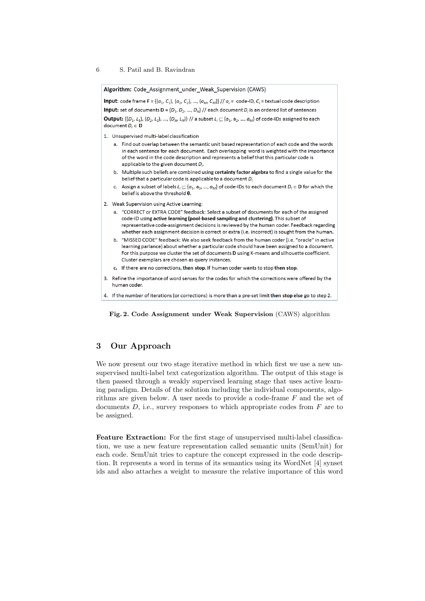Algorithm: Code\_Assignment\_under\_Weak\_Supervision (CAWS)

**Input:** code frame F = { $(a_1, C_1)$ ,  $(a_2, C_2)$ , ...,  $(a_M, C_M)$ } //  $a_i$  = code-ID,  $C_i$  = textual code description **Input:** set of documents  $D = \{D_1, D_2, ..., D_N\}$  // each document  $D_i$  is an ordered list of sentences **Output:**  $\{ (D_1, L_1), (D_2, L_2), ..., (D_w, L_w) \}$  // a subset  $L_i \subseteq \{ \alpha_1, \alpha_2, ..., \alpha_w \}$  of code-IDs assigned to each document  $D_i \in D$ 1. Unsupervised multi-label classification a. Find out overlap between the semantic unit based representation of each code and the words in each sentence for each document. Each overlapping word is weighted with the importance of the word in the code description and represents a belief that this particular code is applicable to the given document  $D_i$ .

- b. Multiple such beliefs are combined using certainty factor algebra to find a single value for the belief that a particular code is applicable to a document  $D_i$
- c. Assign a subset of labels  $L_i \subseteq \{a_1, a_2, ..., a_M\}$  of code-IDs to each document  $D_i \in D$  for which the belief is above the threshold 0.
- 2. Weak Supervision using Active Learning:
	- a. "CORRECT or EXTRA CODE" feedback: Select a subset of documents for each of the assigned code-ID using active learning (pool-based sampling and clustering). This subset of representative code-assignment decisions is reviewed by the human coder. Feedback regarding whether each assignment decision is correct or extra (i.e. incorrect) is sought from the human.
	- b. "MISSED CODE" feedback: We also seek feedback from the human coder (i.e. "oracle" in active learning parlance) about whether a particular code should have been assigned to a document. For this purpose we cluster the set of documents D using K-means and silhouette coefficient. Cluster exemplars are chosen as query instances.
	- c. If there are no corrections, then stop. If human coder wants to stop then stop.
- 3. Refine the importance of word senses for the codes for which the corrections were offered by the human coder.
- 4. If the number of iterations (or corrections) is more than a pre-set limit then stop else go to step 2.

Fig. 2. Code Assignment under Weak Supervision (CAWS) algorithm

# 3 Our Approach

We now present our two stage iterative method in which first we use a new unsupervised multi-label text categorization algorithm. The output of this stage is then passed through a weakly supervised learning stage that uses active learning paradigm. Details of the solution including the individual components, algorithms are given below. A user needs to provide a code-frame F and the set of documents  $D$ , i.e., survey responses to which appropriate codes from  $F$  are to be assigned.

Feature Extraction: For the first stage of unsupervised multi-label classification, we use a new feature representation called semantic units (SemUnit) for each code. SemUnit tries to capture the concept expressed in the code description. It represents a word in terms of its semantics using its WordNet [4] synset ids and also attaches a weight to measure the relative importance of this word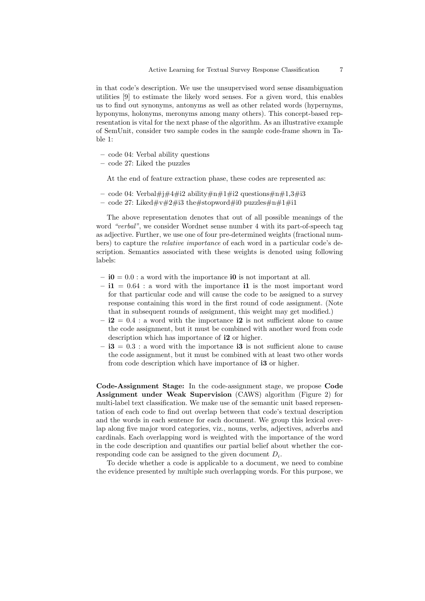in that code's description. We use the unsupervised word sense disambiguation utilities [9] to estimate the likely word senses. For a given word, this enables us to find out synonyms, antonyms as well as other related words (hypernyms, hyponyms, holonyms, meronyms among many others). This concept-based representation is vital for the next phase of the algorithm. As an illustrative example of SemUnit, consider two sample codes in the sample code-frame shown in Table 1:

- code 04: Verbal ability questions
- code 27: Liked the puzzles

At the end of feature extraction phase, these codes are represented as:

- code 04: Verbal $\#i\#4\#i2$  ability $\#n\#1\#i2$  questions $\#n\#1,3\#i3$
- code 27: Liked $\#v\#2\#i3$  the  $\#stopword\#i0$  puzzles  $\#n\#1\#i1$

The above representation denotes that out of all possible meanings of the word "verbal", we consider Wordnet sense number 4 with its part-of-speech tag as adjective. Further, we use one of four pre-determined weights (fractional numbers) to capture the relative importance of each word in a particular code's description. Semantics associated with these weights is denoted using following labels:

- $-$  **i0** = 0.0 : a word with the importance **i0** is not important at all.
- $-$  **i1** = 0.64 : a word with the importance **i1** is the most important word for that particular code and will cause the code to be assigned to a survey response containing this word in the first round of code assignment. (Note that in subsequent rounds of assignment, this weight may get modified.)
- $\mathbf{i2} = 0.4$ : a word with the importance  $\mathbf{i2}$  is not sufficient alone to cause the code assignment, but it must be combined with another word from code description which has importance of i2 or higher.
- $-$  **i3** = 0.3 : a word with the importance **i3** is not sufficient alone to cause the code assignment, but it must be combined with at least two other words from code description which have importance of i3 or higher.

Code-Assignment Stage: In the code-assignment stage, we propose Code Assignment under Weak Supervision (CAWS) algorithm (Figure 2) for multi-label text classification. We make use of the semantic unit based representation of each code to find out overlap between that code's textual description and the words in each sentence for each document. We group this lexical overlap along five major word categories, viz., nouns, verbs, adjectives, adverbs and cardinals. Each overlapping word is weighted with the importance of the word in the code description and quantifies our partial belief about whether the corresponding code can be assigned to the given document  $D_i$ .

To decide whether a code is applicable to a document, we need to combine the evidence presented by multiple such overlapping words. For this purpose, we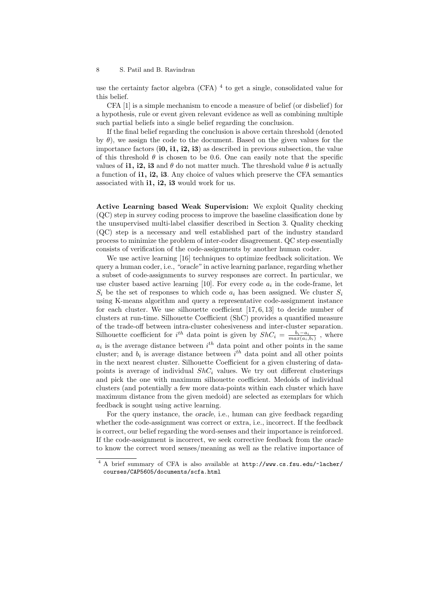use the certainty factor algebra (CFA)  $<sup>4</sup>$  to get a single, consolidated value for</sup> this belief.

CFA [1] is a simple mechanism to encode a measure of belief (or disbelief) for a hypothesis, rule or event given relevant evidence as well as combining multiple such partial beliefs into a single belief regarding the conclusion.

If the final belief regarding the conclusion is above certain threshold (denoted by  $\theta$ ), we assign the code to the document. Based on the given values for the importance factors  $(i0, i1, i2, i3)$  as described in previous subsection, the value of this threshold  $\theta$  is chosen to be 0.6. One can easily note that the specific values of **i1, i2, i3** and  $\theta$  do not matter much. The threshold value  $\theta$  is actually a function of i1, i2, i3. Any choice of values which preserve the CFA semantics associated with i1, i2, i3 would work for us.

Active Learning based Weak Supervision: We exploit Quality checking (QC) step in survey coding process to improve the baseline classification done by the unsupervised multi-label classifier described in Section 3. Quality checking (QC) step is a necessary and well established part of the industry standard process to minimize the problem of inter-coder disagreement. QC step essentially consists of verification of the code-assignments by another human coder.

We use active learning [16] techniques to optimize feedback solicitation. We query a human coder, i.e., "oracle" in active learning parlance, regarding whether a subset of code-assignments to survey responses are correct. In particular, we use cluster based active learning  $[10]$ . For every code  $a_i$  in the code-frame, let  $S_i$  be the set of responses to which code  $a_i$  has been assigned. We cluster  $S_i$ using K-means algorithm and query a representative code-assignment instance for each cluster. We use silhouette coefficient  $[17, 6, 13]$  to decide number of clusters at run-time. Silhouette Coefficient (ShC) provides a quantified measure of the trade-off between intra-cluster cohesiveness and inter-cluster separation. Silhouette coefficient for  $i^{th}$  data point is given by  $ShC_i = \frac{b_i - a_i}{max(a_i, b_i)}$ , where  $a_i$  is the average distance between  $i^{th}$  data point and other points in the same cluster; and  $b_i$  is average distance between  $i^{th}$  data point and all other points in the next nearest cluster. Silhouette Coefficient for a given clustering of datapoints is average of individual  $ShC_i$  values. We try out different clusterings and pick the one with maximum silhouette coefficient. Medoids of individual clusters (and potentially a few more data-points within each cluster which have maximum distance from the given medoid) are selected as exemplars for which feedback is sought using active learning.

For the query instance, the oracle, i.e., human can give feedback regarding whether the code-assignment was correct or extra, i.e., incorrect. If the feedback is correct, our belief regarding the word-senses and their importance is reinforced. If the code-assignment is incorrect, we seek corrective feedback from the oracle to know the correct word senses/meaning as well as the relative importance of

<sup>4</sup> A brief summary of CFA is also available at http://www.cs.fsu.edu/~lacher/ courses/CAP5605/documents/scfa.html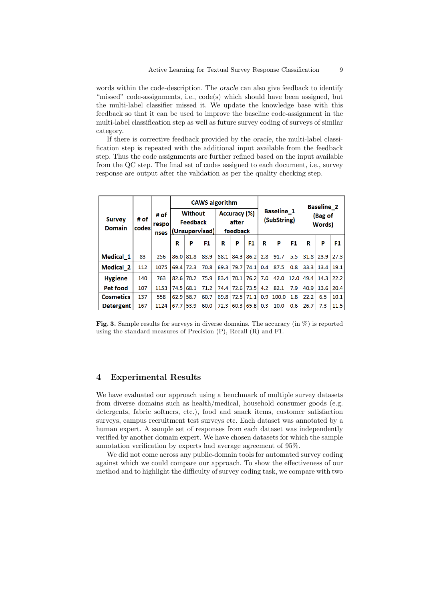words within the code-description. The oracle can also give feedback to identify "missed" code-assignments, i.e., code(s) which should have been assigned, but the multi-label classifier missed it. We update the knowledge base with this feedback so that it can be used to improve the baseline code-assignment in the multi-label classification step as well as future survey coding of surveys of similar category.

If there is corrective feedback provided by the oracle, the multi-label classification step is repeated with the additional input available from the feedback step. Thus the code assignments are further refined based on the input available from the QC step. The final set of codes assigned to each document, i.e., survey response are output after the validation as per the quality checking step.

| <b>Survey</b><br><b>Domain</b> | # of<br>codes | # of<br>respo<br>nses | <b>CAWS algorithm</b><br><b>Without</b><br><b>Feedback</b><br>(Unsupervised) |      |      | Accuracy (%)<br>after<br>feedback |      |      | <b>Baseline 1</b><br>(SubString) |       |      | <b>Baseline 2</b><br>(Bag of<br><b>Words</b> ) |      |      |
|--------------------------------|---------------|-----------------------|------------------------------------------------------------------------------|------|------|-----------------------------------|------|------|----------------------------------|-------|------|------------------------------------------------|------|------|
|                                |               |                       | R                                                                            | P    | F1   | R                                 | P    | F1   | R                                | P     | F1.  | R                                              | P    | F1   |
| <b>Medical 1</b>               | 83            | 256                   | 86.0                                                                         | 81.8 | 83.9 | 88.1                              | 84.3 | 86.2 | 2.8                              | 91.7  | 5.5  | 31.8                                           | 23.9 | 27.3 |
| <b>Medical 2</b>               | 112           | 1075                  | 69.4                                                                         | 72.3 | 70.8 | 69.3                              | 79.7 | 74.1 | 0.4                              | 87.5  | 0.8  | 33.3                                           | 13.4 | 19.1 |
| <b>Hygiene</b>                 | 140           | 763                   | 82.6                                                                         | 70.2 | 75.9 | 83.4                              | 70.1 | 76.2 | 7.0                              | 42.0  | 12.0 | 49.4                                           | 14.3 | 22.2 |
| Pet food                       | 107           | 1153                  | 74.5                                                                         | 68.1 | 71.2 | 74.4                              | 72.6 | 73.5 | 4.2                              | 82.1  | 7.9  | 40.9                                           | 13.6 | 20.4 |
| <b>Cosmetics</b>               | 137           | 558                   | 62.9                                                                         | 58.7 | 60.7 | 69.8                              | 72.5 | 71.1 | 0.9                              | 100.0 | 1.8  | 22.2                                           | 6.5  | 10.1 |
| <b>Detergent</b>               | 167           | 1124                  | 67.7                                                                         | 53.9 | 60.0 | 72.3                              | 60.3 | 65.8 | 0.3                              | 10.0  | 0.6  | 26.7                                           | 7.3  | 11.5 |

Fig. 3. Sample results for surveys in diverse domains. The accuracy (in  $\%$ ) is reported using the standard measures of Precision (P), Recall (R) and F1.

# 4 Experimental Results

We have evaluated our approach using a benchmark of multiple survey datasets from diverse domains such as health/medical, household consumer goods (e.g. detergents, fabric softners, etc.), food and snack items, customer satisfaction surveys, campus recruitment test surveys etc. Each dataset was annotated by a human expert. A sample set of responses from each dataset was independently verified by another domain expert. We have chosen datasets for which the sample annotation verification by experts had average agreement of 95%.

We did not come across any public-domain tools for automated survey coding against which we could compare our approach. To show the effectiveness of our method and to highlight the difficulty of survey coding task, we compare with two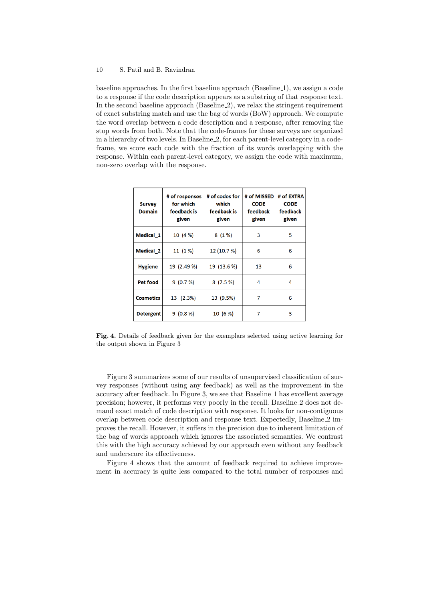baseline approaches. In the first baseline approach (Baseline 1), we assign a code to a response if the code description appears as a substring of that response text. In the second baseline approach (Baseline 2), we relax the stringent requirement of exact substring match and use the bag of words (BoW) approach. We compute the word overlap between a code description and a response, after removing the stop words from both. Note that the code-frames for these surveys are organized in a hierarchy of two levels. In Baseline 2, for each parent-level category in a codeframe, we score each code with the fraction of its words overlapping with the response. Within each parent-level category, we assign the code with maximum, non-zero overlap with the response.

| <b>Survey</b><br><b>Domain</b> | # of responses<br>for which<br>feedback is<br>given | # of codes for<br>which<br>feedback is<br>given | # of MISSED<br><b>CODE</b><br>feedback<br>given | # of EXTRA<br><b>CODE</b><br>feedback<br>given |
|--------------------------------|-----------------------------------------------------|-------------------------------------------------|-------------------------------------------------|------------------------------------------------|
| Medical_1                      | 10 (4 %)                                            | $8(1\%)$                                        | 3                                               | 5                                              |
| <b>Medical 2</b>               | 11 (1 %)                                            | 12 (10.7 %)                                     | 6                                               | 6                                              |
| <b>Hygiene</b>                 | 19 (2.49 %)                                         | 19 (13.6 %)                                     | 13                                              | 6                                              |
| <b>Pet food</b>                | 9(0.7%)                                             | 8(7.5%)                                         | 4                                               | 4                                              |
| <b>Cosmetics</b>               | 13 (2.3%)                                           | 13 (9.5%)                                       | 7                                               | 6                                              |
| <b>Detergent</b>               | 9(0.8%)                                             | 10 (6 %)                                        | 7                                               | 3                                              |

Fig. 4. Details of feedback given for the exemplars selected using active learning for the output shown in Figure 3

Figure 3 summarizes some of our results of unsupervised classification of survey responses (without using any feedback) as well as the improvement in the accuracy after feedback. In Figure 3, we see that Baseline 1 has excellent average precision; however, it performs very poorly in the recall. Baseline 2 does not demand exact match of code description with response. It looks for non-contiguous overlap between code description and response text. Expectedly, Baseline 2 improves the recall. However, it suffers in the precision due to inherent limitation of the bag of words approach which ignores the associated semantics. We contrast this with the high accuracy achieved by our approach even without any feedback and underscore its effectiveness.

Figure 4 shows that the amount of feedback required to achieve improvement in accuracy is quite less compared to the total number of responses and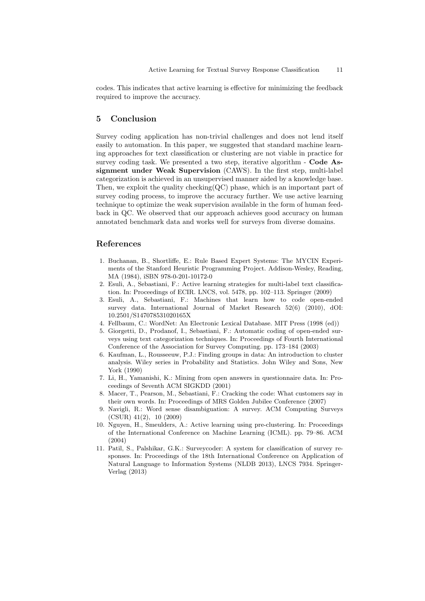codes. This indicates that active learning is effective for minimizing the feedback required to improve the accuracy.

# 5 Conclusion

Survey coding application has non-trivial challenges and does not lend itself easily to automation. In this paper, we suggested that standard machine learning approaches for text classification or clustering are not viable in practice for survey coding task. We presented a two step, iterative algorithm - Code Assignment under Weak Supervision (CAWS). In the first step, multi-label categorization is achieved in an unsupervised manner aided by a knowledge base. Then, we exploit the quality checking  $(QC)$  phase, which is an important part of survey coding process, to improve the accuracy further. We use active learning technique to optimize the weak supervision available in the form of human feedback in QC. We observed that our approach achieves good accuracy on human annotated benchmark data and works well for surveys from diverse domains.

## References

- 1. Buchanan, B., Shortliffe, E.: Rule Based Expert Systems: The MYCIN Experiments of the Stanford Heuristic Programming Project. Addison-Wesley, Reading, MA (1984), iSBN 978-0-201-10172-0
- 2. Esuli, A., Sebastiani, F.: Active learning strategies for multi-label text classification. In: Proceedings of ECIR. LNCS, vol. 5478, pp. 102–113. Springer (2009)
- 3. Esuli, A., Sebastiani, F.: Machines that learn how to code open-ended survey data. International Journal of Market Research 52(6) (2010), dOI: 10.2501/S147078531020165X
- 4. Fellbaum, C.: WordNet: An Electronic Lexical Database. MIT Press (1998 (ed))
- 5. Giorgetti, D., Prodanof, I., Sebastiani, F.: Automatic coding of open-ended surveys using text categorization techniques. In: Proceedings of Fourth International Conference of the Association for Survey Computing. pp. 173–184 (2003)
- 6. Kaufman, L., Rousseeuw, P.J.: Finding groups in data: An introduction to cluster analysis. Wiley series in Probability and Statistics. John Wiley and Sons, New York (1990)
- 7. Li, H., Yamanishi, K.: Mining from open answers in questionnaire data. In: Proceedings of Seventh ACM SIGKDD (2001)
- 8. Macer, T., Pearson, M., Sebastiani, F.: Cracking the code: What customers say in their own words. In: Proceedings of MRS Golden Jubilee Conference (2007)
- 9. Navigli, R.: Word sense disambiguation: A survey. ACM Computing Surveys (CSUR) 41(2), 10 (2009)
- 10. Nguyen, H., Smeulders, A.: Active learning using pre-clustering. In: Proceedings of the International Conference on Machine Learning (ICML). pp. 79–86. ACM (2004)
- 11. Patil, S., Palshikar, G.K.: Surveycoder: A system for classification of survey responses. In: Proceedings of the 18th International Conference on Application of Natural Language to Information Systems (NLDB 2013), LNCS 7934. Springer-Verlag (2013)